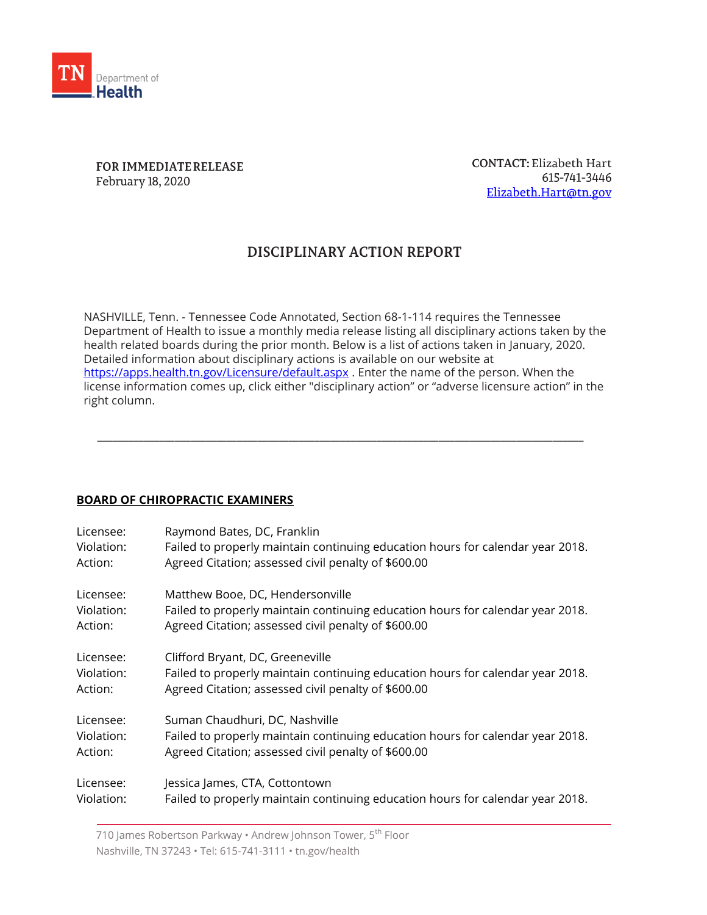

FOR IMMEDIATE RELEASE February 18, 2020

**CONTACT: Elizabeth Hart** 615-741-3446 Elizabeth.Hart@tn.gov

# DISCIPLINARY ACTION REPORT

NASHVILLE, Tenn. - Tennessee Code Annotated, Section 68-1-114 requires the Tennessee Department of Health to issue a monthly media release listing all disciplinary actions taken by the health related boards during the prior month. Below is a list of actions taken in January, 2020. Detailed information about disciplinary actions is available on our website at <https://apps.health.tn.gov/Licensure/default.aspx> . Enter the name of the person. When the license information comes up, click either "disciplinary action" or "adverse licensure action" in the right column.

\_\_\_\_\_\_\_\_\_\_\_\_\_\_\_\_\_\_\_\_\_\_\_\_\_\_\_\_\_\_\_\_\_\_\_\_\_\_\_\_\_\_\_\_\_\_\_\_\_\_\_\_\_\_\_\_\_\_\_\_\_\_\_\_\_\_\_\_\_\_\_\_\_\_\_\_\_\_\_\_\_\_\_\_\_\_\_\_\_\_\_\_\_\_

### **BOARD OF CHIROPRACTIC EXAMINERS**

| Licensee:  | Raymond Bates, DC, Franklin                                                    |
|------------|--------------------------------------------------------------------------------|
| Violation: | Failed to properly maintain continuing education hours for calendar year 2018. |
| Action:    | Agreed Citation; assessed civil penalty of \$600.00                            |
| Licensee:  | Matthew Booe, DC, Hendersonville                                               |
| Violation: | Failed to properly maintain continuing education hours for calendar year 2018. |
| Action:    | Agreed Citation; assessed civil penalty of \$600.00                            |
| Licensee:  | Clifford Bryant, DC, Greeneville                                               |
| Violation: | Failed to properly maintain continuing education hours for calendar year 2018. |
| Action:    | Agreed Citation; assessed civil penalty of \$600.00                            |
| Licensee:  | Suman Chaudhuri, DC, Nashville                                                 |
| Violation: | Failed to properly maintain continuing education hours for calendar year 2018. |
| Action:    | Agreed Citation; assessed civil penalty of \$600.00                            |
| Licensee:  | Jessica James, CTA, Cottontown                                                 |
| Violation: | Failed to properly maintain continuing education hours for calendar year 2018. |

710 James Robertson Parkway • Andrew Johnson Tower, 5<sup>th</sup> Floor Nashville, TN 37243 • Tel: 615-741-3111 • tn.gov/health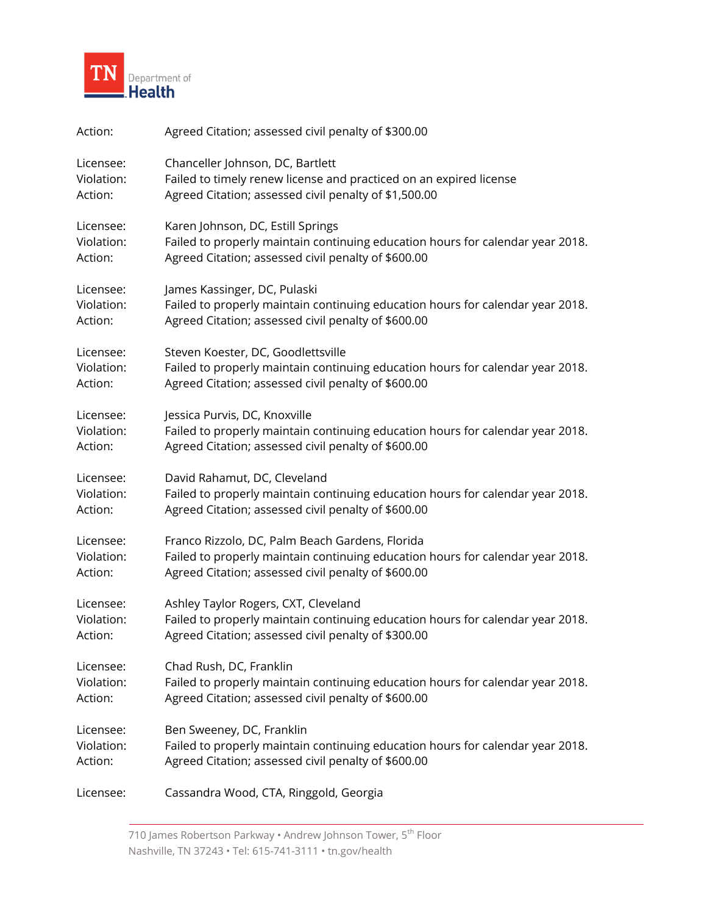

| Action:    | Agreed Citation; assessed civil penalty of \$300.00                            |
|------------|--------------------------------------------------------------------------------|
| Licensee:  | Chanceller Johnson, DC, Bartlett                                               |
| Violation: | Failed to timely renew license and practiced on an expired license             |
| Action:    | Agreed Citation; assessed civil penalty of \$1,500.00                          |
| Licensee:  | Karen Johnson, DC, Estill Springs                                              |
| Violation: | Failed to properly maintain continuing education hours for calendar year 2018. |
| Action:    | Agreed Citation; assessed civil penalty of \$600.00                            |
| Licensee:  | James Kassinger, DC, Pulaski                                                   |
| Violation: | Failed to properly maintain continuing education hours for calendar year 2018. |
| Action:    | Agreed Citation; assessed civil penalty of \$600.00                            |
| Licensee:  | Steven Koester, DC, Goodlettsville                                             |
| Violation: | Failed to properly maintain continuing education hours for calendar year 2018. |
| Action:    | Agreed Citation; assessed civil penalty of \$600.00                            |
| Licensee:  | Jessica Purvis, DC, Knoxville                                                  |
| Violation: | Failed to properly maintain continuing education hours for calendar year 2018. |
| Action:    | Agreed Citation; assessed civil penalty of \$600.00                            |
| Licensee:  | David Rahamut, DC, Cleveland                                                   |
| Violation: | Failed to properly maintain continuing education hours for calendar year 2018. |
| Action:    | Agreed Citation; assessed civil penalty of \$600.00                            |
| Licensee:  | Franco Rizzolo, DC, Palm Beach Gardens, Florida                                |
| Violation: | Failed to properly maintain continuing education hours for calendar year 2018. |
| Action:    | Agreed Citation; assessed civil penalty of \$600.00                            |
| Licensee:  | Ashley Taylor Rogers, CXT, Cleveland                                           |
| Violation: | Failed to properly maintain continuing education hours for calendar year 2018. |
| Action:    | Agreed Citation; assessed civil penalty of \$300.00                            |
| Licensee:  | Chad Rush, DC, Franklin                                                        |
| Violation: | Failed to properly maintain continuing education hours for calendar year 2018. |
| Action:    | Agreed Citation; assessed civil penalty of \$600.00                            |
| Licensee:  | Ben Sweeney, DC, Franklin                                                      |
| Violation: | Failed to properly maintain continuing education hours for calendar year 2018. |
| Action:    | Agreed Citation; assessed civil penalty of \$600.00                            |
| Licensee:  | Cassandra Wood, CTA, Ringgold, Georgia                                         |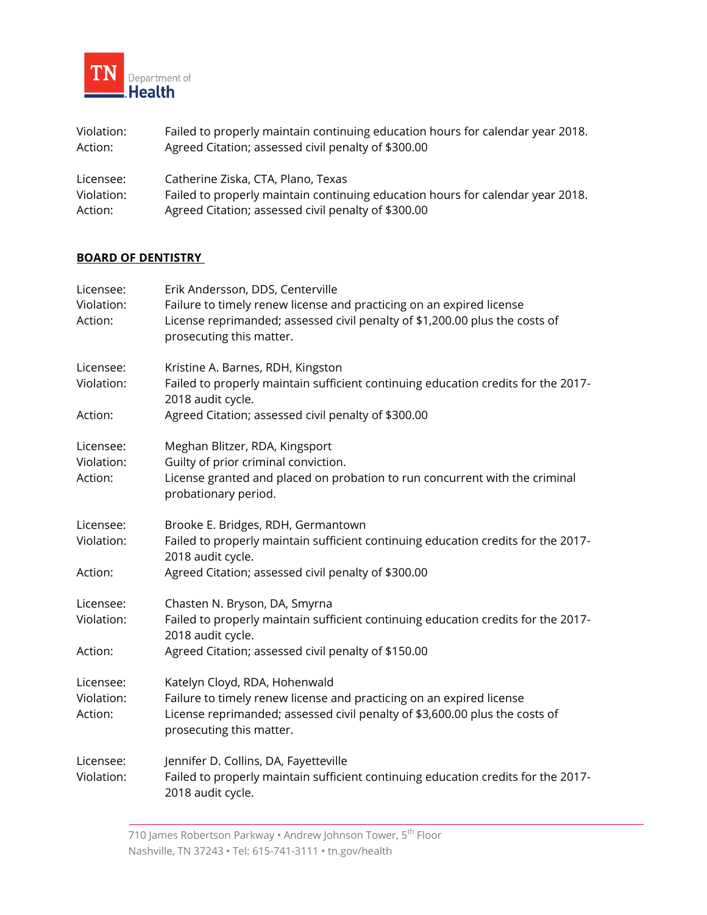

| Violation: | Failed to properly maintain continuing education hours for calendar year 2018. |
|------------|--------------------------------------------------------------------------------|
| Action:    | Agreed Citation; assessed civil penalty of \$300.00                            |
| Licensee:  | Catherine Ziska, CTA, Plano, Texas                                             |
| Violation: | Failed to properly maintain continuing education hours for calendar year 2018. |
| Action:    | Agreed Citation; assessed civil penalty of \$300.00                            |

# **BOARD OF DENTISTRY**

| Licensee:<br>Violation:<br>Action: | Erik Andersson, DDS, Centerville<br>Failure to timely renew license and practicing on an expired license<br>License reprimanded; assessed civil penalty of \$1,200.00 plus the costs of<br>prosecuting this matter. |
|------------------------------------|---------------------------------------------------------------------------------------------------------------------------------------------------------------------------------------------------------------------|
| Licensee:<br>Violation:            | Kristine A. Barnes, RDH, Kingston<br>Failed to properly maintain sufficient continuing education credits for the 2017-<br>2018 audit cycle.                                                                         |
| Action:                            | Agreed Citation; assessed civil penalty of \$300.00                                                                                                                                                                 |
| Licensee:<br>Violation:<br>Action: | Meghan Blitzer, RDA, Kingsport<br>Guilty of prior criminal conviction.<br>License granted and placed on probation to run concurrent with the criminal<br>probationary period.                                       |
| Licensee:<br>Violation:            | Brooke E. Bridges, RDH, Germantown<br>Failed to properly maintain sufficient continuing education credits for the 2017-<br>2018 audit cycle.                                                                        |
| Action:                            | Agreed Citation; assessed civil penalty of \$300.00                                                                                                                                                                 |
| Licensee:<br>Violation:            | Chasten N. Bryson, DA, Smyrna<br>Failed to properly maintain sufficient continuing education credits for the 2017-<br>2018 audit cycle.                                                                             |
| Action:                            | Agreed Citation; assessed civil penalty of \$150.00                                                                                                                                                                 |
| Licensee:<br>Violation:<br>Action: | Katelyn Cloyd, RDA, Hohenwald<br>Failure to timely renew license and practicing on an expired license<br>License reprimanded; assessed civil penalty of \$3,600.00 plus the costs of<br>prosecuting this matter.    |
| Licensee:<br>Violation:            | Jennifer D. Collins, DA, Fayetteville<br>Failed to properly maintain sufficient continuing education credits for the 2017-<br>2018 audit cycle.                                                                     |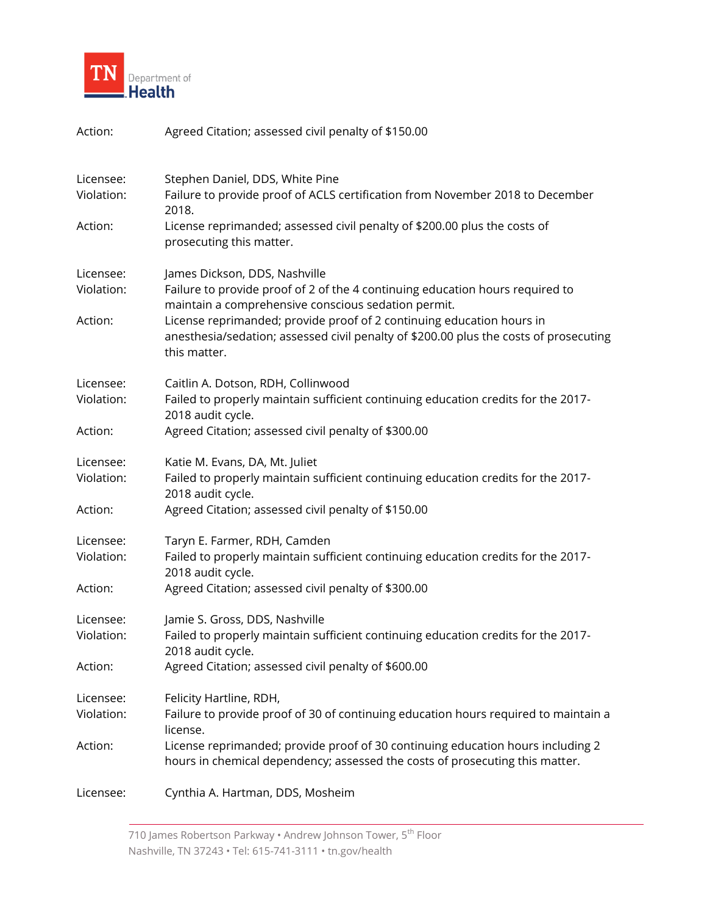

| Action:                 | Agreed Citation; assessed civil penalty of \$150.00                                                                                                                            |
|-------------------------|--------------------------------------------------------------------------------------------------------------------------------------------------------------------------------|
| Licensee:<br>Violation: | Stephen Daniel, DDS, White Pine<br>Failure to provide proof of ACLS certification from November 2018 to December<br>2018.                                                      |
| Action:                 | License reprimanded; assessed civil penalty of \$200.00 plus the costs of<br>prosecuting this matter.                                                                          |
| Licensee:<br>Violation: | James Dickson, DDS, Nashville<br>Failure to provide proof of 2 of the 4 continuing education hours required to<br>maintain a comprehensive conscious sedation permit.          |
| Action:                 | License reprimanded; provide proof of 2 continuing education hours in<br>anesthesia/sedation; assessed civil penalty of \$200.00 plus the costs of prosecuting<br>this matter. |
| Licensee:<br>Violation: | Caitlin A. Dotson, RDH, Collinwood<br>Failed to properly maintain sufficient continuing education credits for the 2017-<br>2018 audit cycle.                                   |
| Action:                 | Agreed Citation; assessed civil penalty of \$300.00                                                                                                                            |
| Licensee:<br>Violation: | Katie M. Evans, DA, Mt. Juliet<br>Failed to properly maintain sufficient continuing education credits for the 2017-<br>2018 audit cycle.                                       |
| Action:                 | Agreed Citation; assessed civil penalty of \$150.00                                                                                                                            |
| Licensee:<br>Violation: | Taryn E. Farmer, RDH, Camden<br>Failed to properly maintain sufficient continuing education credits for the 2017-<br>2018 audit cycle.                                         |
| Action:                 | Agreed Citation; assessed civil penalty of \$300.00                                                                                                                            |
| Licensee:<br>Violation: | Jamie S. Gross, DDS, Nashville<br>Failed to properly maintain sufficient continuing education credits for the 2017-<br>2018 audit cycle.                                       |
| Action:                 | Agreed Citation; assessed civil penalty of \$600.00                                                                                                                            |
| Licensee:<br>Violation: | Felicity Hartline, RDH,<br>Failure to provide proof of 30 of continuing education hours required to maintain a<br>license.                                                     |
| Action:                 | License reprimanded; provide proof of 30 continuing education hours including 2<br>hours in chemical dependency; assessed the costs of prosecuting this matter.                |
| Licensee:               | Cynthia A. Hartman, DDS, Mosheim                                                                                                                                               |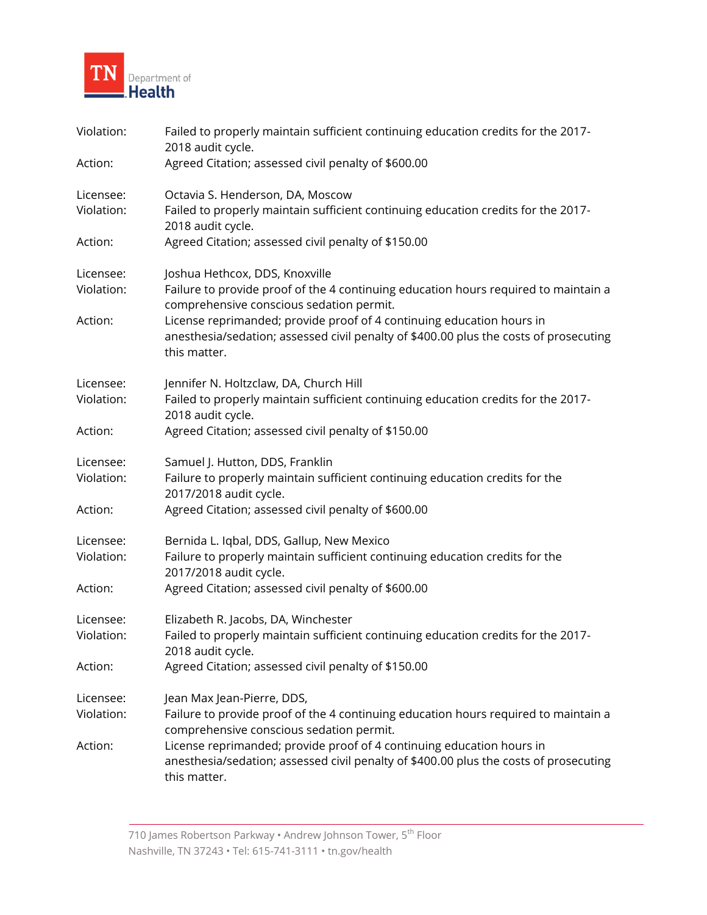

| Violation:              | Failed to properly maintain sufficient continuing education credits for the 2017-<br>2018 audit cycle.                                                                         |
|-------------------------|--------------------------------------------------------------------------------------------------------------------------------------------------------------------------------|
| Action:                 | Agreed Citation; assessed civil penalty of \$600.00                                                                                                                            |
| Licensee:<br>Violation: | Octavia S. Henderson, DA, Moscow<br>Failed to properly maintain sufficient continuing education credits for the 2017-<br>2018 audit cycle.                                     |
| Action:                 | Agreed Citation; assessed civil penalty of \$150.00                                                                                                                            |
| Licensee:<br>Violation: | Joshua Hethcox, DDS, Knoxville<br>Failure to provide proof of the 4 continuing education hours required to maintain a<br>comprehensive conscious sedation permit.              |
| Action:                 | License reprimanded; provide proof of 4 continuing education hours in<br>anesthesia/sedation; assessed civil penalty of \$400.00 plus the costs of prosecuting<br>this matter. |
| Licensee:<br>Violation: | Jennifer N. Holtzclaw, DA, Church Hill<br>Failed to properly maintain sufficient continuing education credits for the 2017-<br>2018 audit cycle.                               |
| Action:                 | Agreed Citation; assessed civil penalty of \$150.00                                                                                                                            |
| Licensee:<br>Violation: | Samuel J. Hutton, DDS, Franklin<br>Failure to properly maintain sufficient continuing education credits for the<br>2017/2018 audit cycle.                                      |
| Action:                 | Agreed Citation; assessed civil penalty of \$600.00                                                                                                                            |
| Licensee:<br>Violation: | Bernida L. Iqbal, DDS, Gallup, New Mexico<br>Failure to properly maintain sufficient continuing education credits for the<br>2017/2018 audit cycle.                            |
| Action:                 | Agreed Citation; assessed civil penalty of \$600.00                                                                                                                            |
| Licensee:<br>Violation: | Elizabeth R. Jacobs, DA, Winchester<br>Failed to properly maintain sufficient continuing education credits for the 2017-<br>2018 audit cycle.                                  |
| Action:                 | Agreed Citation; assessed civil penalty of \$150.00                                                                                                                            |
| Licensee:<br>Violation: | Jean Max Jean-Pierre, DDS,<br>Failure to provide proof of the 4 continuing education hours required to maintain a<br>comprehensive conscious sedation permit.                  |
| Action:                 | License reprimanded; provide proof of 4 continuing education hours in<br>anesthesia/sedation; assessed civil penalty of \$400.00 plus the costs of prosecuting<br>this matter. |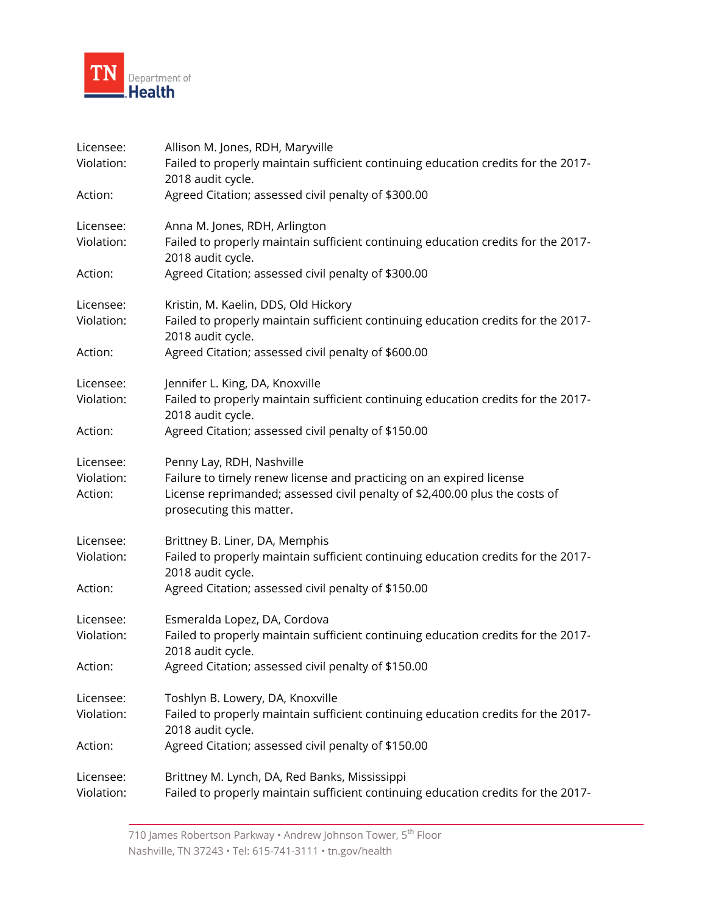

| Licensee:                          | Allison M. Jones, RDH, Maryville                                                                                                                                                                             |
|------------------------------------|--------------------------------------------------------------------------------------------------------------------------------------------------------------------------------------------------------------|
| Violation:                         | Failed to properly maintain sufficient continuing education credits for the 2017-<br>2018 audit cycle.                                                                                                       |
| Action:                            | Agreed Citation; assessed civil penalty of \$300.00                                                                                                                                                          |
| Licensee:<br>Violation:            | Anna M. Jones, RDH, Arlington<br>Failed to properly maintain sufficient continuing education credits for the 2017-                                                                                           |
| Action:                            | 2018 audit cycle.<br>Agreed Citation; assessed civil penalty of \$300.00                                                                                                                                     |
| Licensee:                          | Kristin, M. Kaelin, DDS, Old Hickory                                                                                                                                                                         |
| Violation:                         | Failed to properly maintain sufficient continuing education credits for the 2017-<br>2018 audit cycle.                                                                                                       |
| Action:                            | Agreed Citation; assessed civil penalty of \$600.00                                                                                                                                                          |
| Licensee:<br>Violation:            | Jennifer L. King, DA, Knoxville<br>Failed to properly maintain sufficient continuing education credits for the 2017-<br>2018 audit cycle.                                                                    |
| Action:                            | Agreed Citation; assessed civil penalty of \$150.00                                                                                                                                                          |
| Licensee:<br>Violation:<br>Action: | Penny Lay, RDH, Nashville<br>Failure to timely renew license and practicing on an expired license<br>License reprimanded; assessed civil penalty of \$2,400.00 plus the costs of<br>prosecuting this matter. |
| Licensee:                          | Brittney B. Liner, DA, Memphis                                                                                                                                                                               |
| Violation:                         | Failed to properly maintain sufficient continuing education credits for the 2017-<br>2018 audit cycle.                                                                                                       |
| Action:                            | Agreed Citation; assessed civil penalty of \$150.00                                                                                                                                                          |
| Licensee:<br>Violation:            | Esmeralda Lopez, DA, Cordova<br>Failed to properly maintain sufficient continuing education credits for the 2017-<br>2018 audit cycle.                                                                       |
| Action:                            | Agreed Citation; assessed civil penalty of \$150.00                                                                                                                                                          |
| Licensee:<br>Violation:            | Toshlyn B. Lowery, DA, Knoxville<br>Failed to properly maintain sufficient continuing education credits for the 2017-<br>2018 audit cycle.                                                                   |
| Action:                            | Agreed Citation; assessed civil penalty of \$150.00                                                                                                                                                          |
| Licensee:<br>Violation:            | Brittney M. Lynch, DA, Red Banks, Mississippi<br>Failed to properly maintain sufficient continuing education credits for the 2017-                                                                           |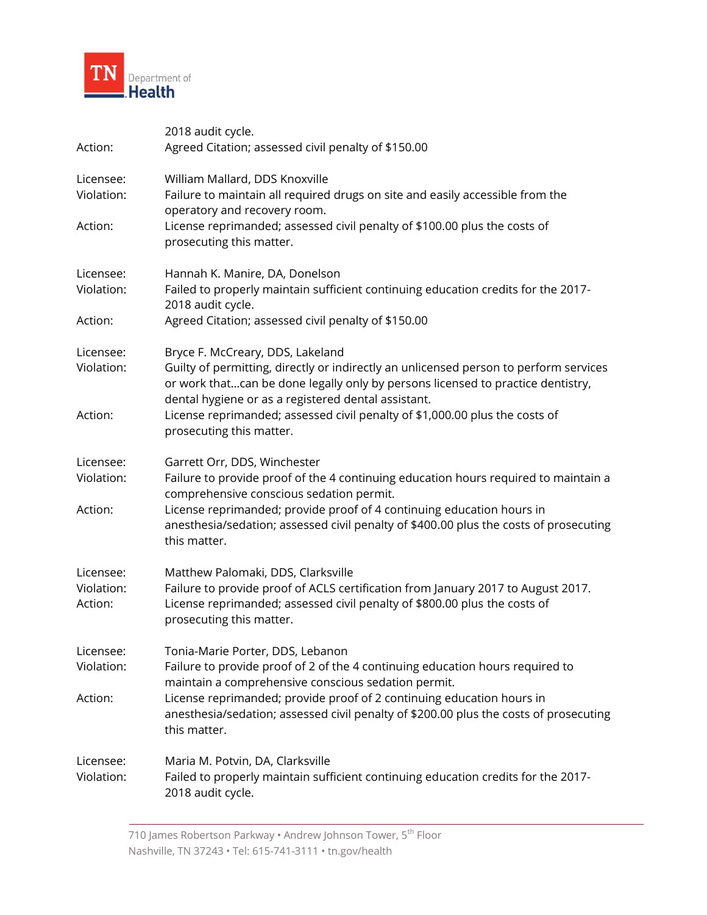

| Action:                 | 2018 audit cycle.<br>Agreed Citation; assessed civil penalty of \$150.00                                                                                                                                                                                            |
|-------------------------|---------------------------------------------------------------------------------------------------------------------------------------------------------------------------------------------------------------------------------------------------------------------|
| Licensee:<br>Violation: | William Mallard, DDS Knoxville<br>Failure to maintain all required drugs on site and easily accessible from the<br>operatory and recovery room.                                                                                                                     |
| Action:                 | License reprimanded; assessed civil penalty of \$100.00 plus the costs of<br>prosecuting this matter.                                                                                                                                                               |
| Licensee:<br>Violation: | Hannah K. Manire, DA, Donelson<br>Failed to properly maintain sufficient continuing education credits for the 2017-<br>2018 audit cycle.                                                                                                                            |
| Action:                 | Agreed Citation; assessed civil penalty of \$150.00                                                                                                                                                                                                                 |
| Licensee:<br>Violation: | Bryce F. McCreary, DDS, Lakeland<br>Guilty of permitting, directly or indirectly an unlicensed person to perform services<br>or work thatcan be done legally only by persons licensed to practice dentistry,<br>dental hygiene or as a registered dental assistant. |
| Action:                 | License reprimanded; assessed civil penalty of \$1,000.00 plus the costs of<br>prosecuting this matter.                                                                                                                                                             |
| Licensee:<br>Violation: | Garrett Orr, DDS, Winchester<br>Failure to provide proof of the 4 continuing education hours required to maintain a<br>comprehensive conscious sedation permit.                                                                                                     |
| Action:                 | License reprimanded; provide proof of 4 continuing education hours in<br>anesthesia/sedation; assessed civil penalty of \$400.00 plus the costs of prosecuting<br>this matter.                                                                                      |
| Licensee:               | Matthew Palomaki, DDS, Clarksville                                                                                                                                                                                                                                  |
| Violation:<br>Action:   | Failure to provide proof of ACLS certification from January 2017 to August 2017.<br>License reprimanded; assessed civil penalty of \$800.00 plus the costs of<br>prosecuting this matter.                                                                           |
| Licensee:<br>Violation: | Tonia-Marie Porter, DDS, Lebanon<br>Failure to provide proof of 2 of the 4 continuing education hours required to<br>maintain a comprehensive conscious sedation permit.                                                                                            |
| Action:                 | License reprimanded; provide proof of 2 continuing education hours in<br>anesthesia/sedation; assessed civil penalty of \$200.00 plus the costs of prosecuting<br>this matter.                                                                                      |
| Licensee:<br>Violation: | Maria M. Potvin, DA, Clarksville<br>Failed to properly maintain sufficient continuing education credits for the 2017-<br>2018 audit cycle.                                                                                                                          |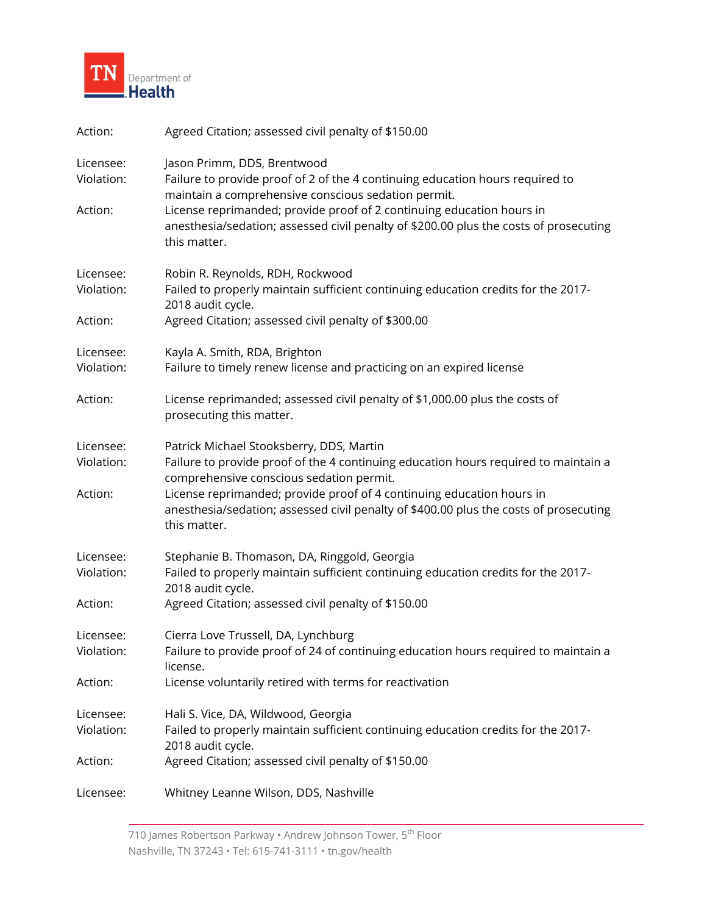

| Action:                            | Agreed Citation; assessed civil penalty of \$150.00                                                                                                                                                                                                                                                                                                           |
|------------------------------------|---------------------------------------------------------------------------------------------------------------------------------------------------------------------------------------------------------------------------------------------------------------------------------------------------------------------------------------------------------------|
| Licensee:<br>Violation:<br>Action: | Jason Primm, DDS, Brentwood<br>Failure to provide proof of 2 of the 4 continuing education hours required to<br>maintain a comprehensive conscious sedation permit.<br>License reprimanded; provide proof of 2 continuing education hours in<br>anesthesia/sedation; assessed civil penalty of \$200.00 plus the costs of prosecuting<br>this matter.         |
| Licensee:<br>Violation:<br>Action: | Robin R. Reynolds, RDH, Rockwood<br>Failed to properly maintain sufficient continuing education credits for the 2017-<br>2018 audit cycle.<br>Agreed Citation; assessed civil penalty of \$300.00                                                                                                                                                             |
| Licensee:<br>Violation:            | Kayla A. Smith, RDA, Brighton<br>Failure to timely renew license and practicing on an expired license                                                                                                                                                                                                                                                         |
| Action:                            | License reprimanded; assessed civil penalty of \$1,000.00 plus the costs of<br>prosecuting this matter.                                                                                                                                                                                                                                                       |
| Licensee:<br>Violation:<br>Action: | Patrick Michael Stooksberry, DDS, Martin<br>Failure to provide proof of the 4 continuing education hours required to maintain a<br>comprehensive conscious sedation permit.<br>License reprimanded; provide proof of 4 continuing education hours in<br>anesthesia/sedation; assessed civil penalty of \$400.00 plus the costs of prosecuting<br>this matter. |
| Licensee:<br>Violation:            | Stephanie B. Thomason, DA, Ringgold, Georgia<br>Failed to properly maintain sufficient continuing education credits for the 2017-<br>2018 audit cycle.                                                                                                                                                                                                        |
| Action:                            | Agreed Citation; assessed civil penalty of \$150.00                                                                                                                                                                                                                                                                                                           |
| Licensee:<br>Violation:            | Cierra Love Trussell, DA, Lynchburg<br>Failure to provide proof of 24 of continuing education hours required to maintain a<br>license.                                                                                                                                                                                                                        |
| Action:                            | License voluntarily retired with terms for reactivation                                                                                                                                                                                                                                                                                                       |
| Licensee:<br>Violation:            | Hali S. Vice, DA, Wildwood, Georgia<br>Failed to properly maintain sufficient continuing education credits for the 2017-<br>2018 audit cycle.                                                                                                                                                                                                                 |
| Action:                            | Agreed Citation; assessed civil penalty of \$150.00                                                                                                                                                                                                                                                                                                           |
| Licensee:                          | Whitney Leanne Wilson, DDS, Nashville                                                                                                                                                                                                                                                                                                                         |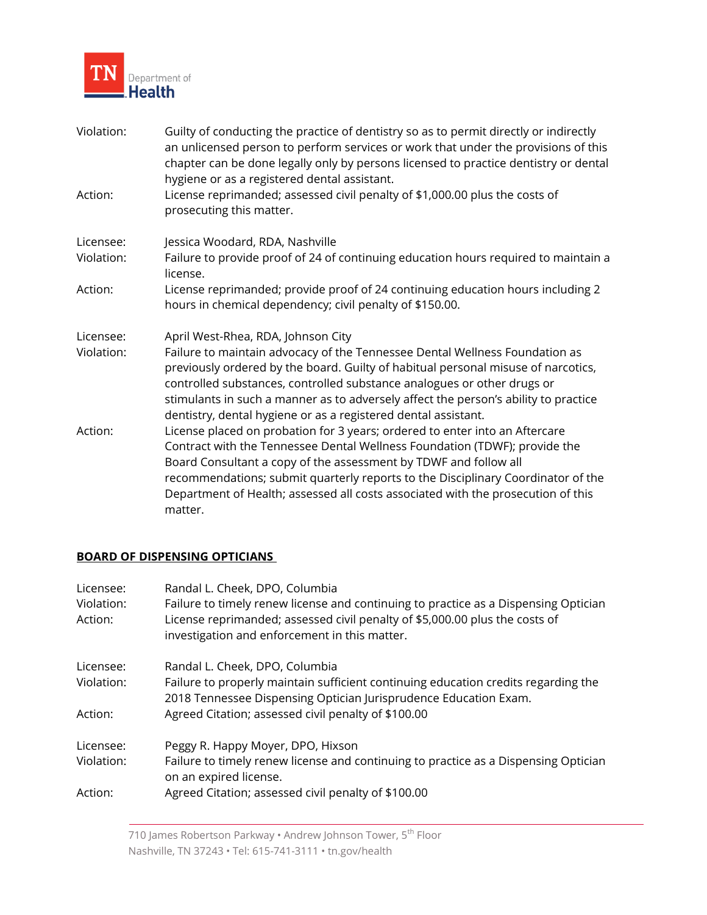

| Violation: | Guilty of conducting the practice of dentistry so as to permit directly or indirectly<br>an unlicensed person to perform services or work that under the provisions of this<br>chapter can be done legally only by persons licensed to practice dentistry or dental<br>hygiene or as a registered dental assistant.                                                                                              |
|------------|------------------------------------------------------------------------------------------------------------------------------------------------------------------------------------------------------------------------------------------------------------------------------------------------------------------------------------------------------------------------------------------------------------------|
| Action:    | License reprimanded; assessed civil penalty of \$1,000.00 plus the costs of<br>prosecuting this matter.                                                                                                                                                                                                                                                                                                          |
| Licensee:  | Jessica Woodard, RDA, Nashville                                                                                                                                                                                                                                                                                                                                                                                  |
| Violation: | Failure to provide proof of 24 of continuing education hours required to maintain a<br>license.                                                                                                                                                                                                                                                                                                                  |
| Action:    | License reprimanded; provide proof of 24 continuing education hours including 2<br>hours in chemical dependency; civil penalty of \$150.00.                                                                                                                                                                                                                                                                      |
| Licensee:  | April West-Rhea, RDA, Johnson City                                                                                                                                                                                                                                                                                                                                                                               |
| Violation: | Failure to maintain advocacy of the Tennessee Dental Wellness Foundation as<br>previously ordered by the board. Guilty of habitual personal misuse of narcotics,<br>controlled substances, controlled substance analogues or other drugs or<br>stimulants in such a manner as to adversely affect the person's ability to practice<br>dentistry, dental hygiene or as a registered dental assistant.             |
| Action:    | License placed on probation for 3 years; ordered to enter into an Aftercare<br>Contract with the Tennessee Dental Wellness Foundation (TDWF); provide the<br>Board Consultant a copy of the assessment by TDWF and follow all<br>recommendations; submit quarterly reports to the Disciplinary Coordinator of the<br>Department of Health; assessed all costs associated with the prosecution of this<br>matter. |

# **BOARD OF DISPENSING OPTICIANS**

| Licensee:  | Randal L. Cheek, DPO, Columbia                                                                                                                         |
|------------|--------------------------------------------------------------------------------------------------------------------------------------------------------|
| Violation: | Failure to timely renew license and continuing to practice as a Dispensing Optician                                                                    |
| Action:    | License reprimanded; assessed civil penalty of \$5,000.00 plus the costs of<br>investigation and enforcement in this matter.                           |
| Licensee:  | Randal L. Cheek, DPO, Columbia                                                                                                                         |
| Violation: | Failure to properly maintain sufficient continuing education credits regarding the<br>2018 Tennessee Dispensing Optician Jurisprudence Education Exam. |
| Action:    | Agreed Citation; assessed civil penalty of \$100.00                                                                                                    |
| Licensee:  | Peggy R. Happy Moyer, DPO, Hixson                                                                                                                      |
| Violation: | Failure to timely renew license and continuing to practice as a Dispensing Optician<br>on an expired license.                                          |
| Action:    | Agreed Citation; assessed civil penalty of \$100.00                                                                                                    |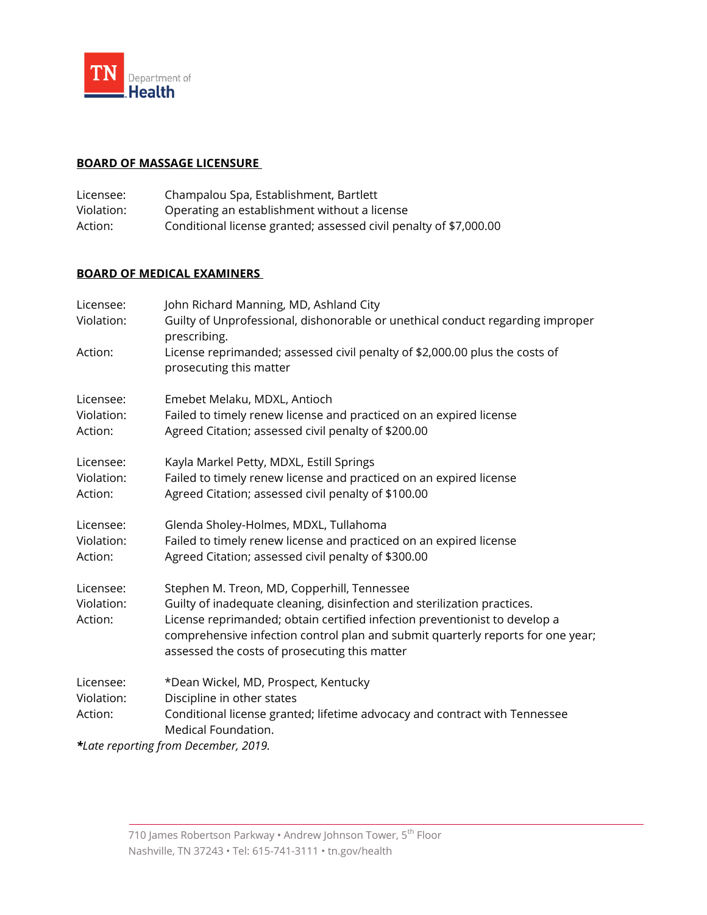

### **BOARD OF MASSAGE LICENSURE**

| Licensee:  | Champalou Spa, Establishment, Bartlett                            |
|------------|-------------------------------------------------------------------|
| Violation: | Operating an establishment without a license                      |
| Action:    | Conditional license granted; assessed civil penalty of \$7,000.00 |

### **BOARD OF MEDICAL EXAMINERS**

| Licensee:  | John Richard Manning, MD, Ashland City                                                                                           |
|------------|----------------------------------------------------------------------------------------------------------------------------------|
| Violation: | Guilty of Unprofessional, dishonorable or unethical conduct regarding improper<br>prescribing.                                   |
| Action:    | License reprimanded; assessed civil penalty of \$2,000.00 plus the costs of<br>prosecuting this matter                           |
| Licensee:  | Emebet Melaku, MDXL, Antioch                                                                                                     |
| Violation: | Failed to timely renew license and practiced on an expired license                                                               |
| Action:    | Agreed Citation; assessed civil penalty of \$200.00                                                                              |
| Licensee:  | Kayla Markel Petty, MDXL, Estill Springs                                                                                         |
| Violation: | Failed to timely renew license and practiced on an expired license                                                               |
| Action:    | Agreed Citation; assessed civil penalty of \$100.00                                                                              |
| Licensee:  | Glenda Sholey-Holmes, MDXL, Tullahoma                                                                                            |
| Violation: | Failed to timely renew license and practiced on an expired license                                                               |
| Action:    | Agreed Citation; assessed civil penalty of \$300.00                                                                              |
| Licensee:  | Stephen M. Treon, MD, Copperhill, Tennessee                                                                                      |
| Violation: | Guilty of inadequate cleaning, disinfection and sterilization practices.                                                         |
| Action:    | License reprimanded; obtain certified infection preventionist to develop a                                                       |
|            | comprehensive infection control plan and submit quarterly reports for one year;<br>assessed the costs of prosecuting this matter |
| Licensee:  | *Dean Wickel, MD, Prospect, Kentucky                                                                                             |
| Violation: | Discipline in other states                                                                                                       |
| Action:    | Conditional license granted; lifetime advocacy and contract with Tennessee                                                       |
|            | Medical Foundation.                                                                                                              |
|            |                                                                                                                                  |

*\*Late reporting from December, 2019.*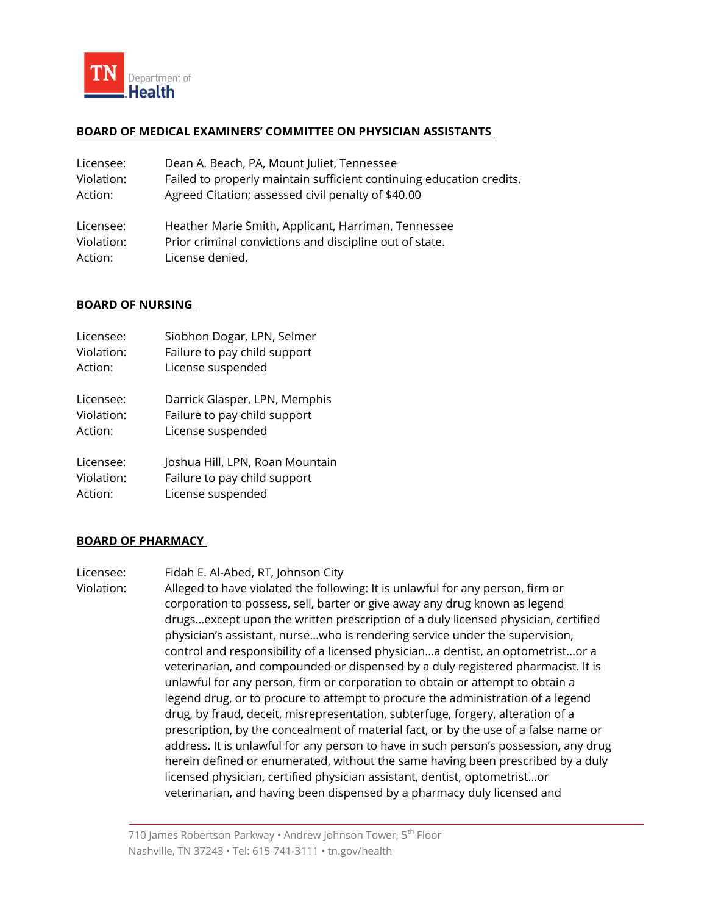

### **BOARD OF MEDICAL EXAMINERS' COMMITTEE ON PHYSICIAN ASSISTANTS**

| Licensee:  | Dean A. Beach, PA, Mount Juliet, Tennessee                           |
|------------|----------------------------------------------------------------------|
| Violation: | Failed to properly maintain sufficient continuing education credits. |
| Action:    | Agreed Citation; assessed civil penalty of \$40.00                   |
| Licensee:  | Heather Marie Smith, Applicant, Harriman, Tennessee                  |
| Violation: | Prior criminal convictions and discipline out of state.              |
| Action:    | License denied.                                                      |

### **BOARD OF NURSING**

| Licensee:  | Siobhon Dogar, LPN, Selmer      |
|------------|---------------------------------|
| Violation: | Failure to pay child support    |
| Action:    | License suspended               |
| Licensee:  | Darrick Glasper, LPN, Memphis   |
| Violation: | Failure to pay child support    |
| Action:    | License suspended               |
| Licensee:  | Joshua Hill, LPN, Roan Mountain |
| Violation: | Failure to pay child support    |
| Action:    | License suspended               |

### **BOARD OF PHARMACY**

- Licensee: Fidah E. Al-Abed, RT, Johnson City
- Violation: Alleged to have violated the following: It is unlawful for any person, firm or corporation to possess, sell, barter or give away any drug known as legend drugs…except upon the written prescription of a duly licensed physician, certified physician's assistant, nurse…who is rendering service under the supervision, control and responsibility of a licensed physician…a dentist, an optometrist…or a veterinarian, and compounded or dispensed by a duly registered pharmacist. It is unlawful for any person, firm or corporation to obtain or attempt to obtain a legend drug, or to procure to attempt to procure the administration of a legend drug, by fraud, deceit, misrepresentation, subterfuge, forgery, alteration of a prescription, by the concealment of material fact, or by the use of a false name or address. It is unlawful for any person to have in such person's possession, any drug herein defined or enumerated, without the same having been prescribed by a duly licensed physician, certified physician assistant, dentist, optometrist…or veterinarian, and having been dispensed by a pharmacy duly licensed and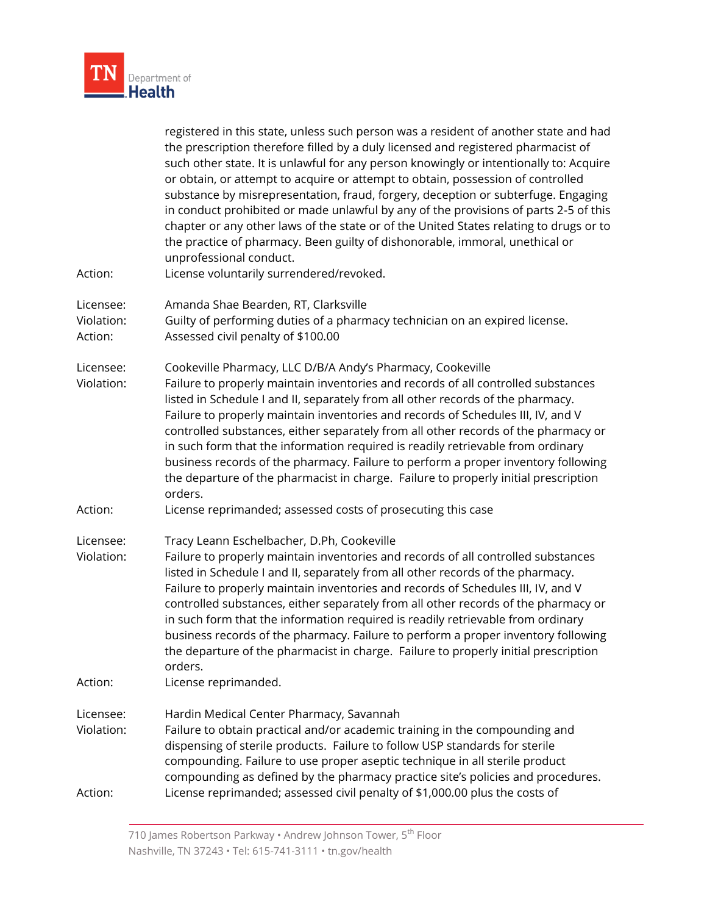

| Action:                            | registered in this state, unless such person was a resident of another state and had<br>the prescription therefore filled by a duly licensed and registered pharmacist of<br>such other state. It is unlawful for any person knowingly or intentionally to: Acquire<br>or obtain, or attempt to acquire or attempt to obtain, possession of controlled<br>substance by misrepresentation, fraud, forgery, deception or subterfuge. Engaging<br>in conduct prohibited or made unlawful by any of the provisions of parts 2-5 of this<br>chapter or any other laws of the state or of the United States relating to drugs or to<br>the practice of pharmacy. Been guilty of dishonorable, immoral, unethical or<br>unprofessional conduct.<br>License voluntarily surrendered/revoked. |
|------------------------------------|--------------------------------------------------------------------------------------------------------------------------------------------------------------------------------------------------------------------------------------------------------------------------------------------------------------------------------------------------------------------------------------------------------------------------------------------------------------------------------------------------------------------------------------------------------------------------------------------------------------------------------------------------------------------------------------------------------------------------------------------------------------------------------------|
| Licensee:<br>Violation:<br>Action: | Amanda Shae Bearden, RT, Clarksville<br>Guilty of performing duties of a pharmacy technician on an expired license.<br>Assessed civil penalty of \$100.00                                                                                                                                                                                                                                                                                                                                                                                                                                                                                                                                                                                                                            |
| Licensee:<br>Violation:            | Cookeville Pharmacy, LLC D/B/A Andy's Pharmacy, Cookeville<br>Failure to properly maintain inventories and records of all controlled substances<br>listed in Schedule I and II, separately from all other records of the pharmacy.<br>Failure to properly maintain inventories and records of Schedules III, IV, and V<br>controlled substances, either separately from all other records of the pharmacy or<br>in such form that the information required is readily retrievable from ordinary<br>business records of the pharmacy. Failure to perform a proper inventory following<br>the departure of the pharmacist in charge. Failure to properly initial prescription<br>orders.                                                                                               |
| Action:                            | License reprimanded; assessed costs of prosecuting this case                                                                                                                                                                                                                                                                                                                                                                                                                                                                                                                                                                                                                                                                                                                         |
| Licensee:<br>Violation:            | Tracy Leann Eschelbacher, D.Ph, Cookeville<br>Failure to properly maintain inventories and records of all controlled substances<br>listed in Schedule I and II, separately from all other records of the pharmacy.<br>Failure to properly maintain inventories and records of Schedules III, IV, and V<br>controlled substances, either separately from all other records of the pharmacy or<br>in such form that the information required is readily retrievable from ordinary<br>business records of the pharmacy. Failure to perform a proper inventory following<br>the departure of the pharmacist in charge. Failure to properly initial prescription<br>orders.                                                                                                               |
| Action:                            | License reprimanded.                                                                                                                                                                                                                                                                                                                                                                                                                                                                                                                                                                                                                                                                                                                                                                 |
| Licensee:<br>Violation:            | Hardin Medical Center Pharmacy, Savannah<br>Failure to obtain practical and/or academic training in the compounding and<br>dispensing of sterile products. Failure to follow USP standards for sterile<br>compounding. Failure to use proper aseptic technique in all sterile product<br>compounding as defined by the pharmacy practice site's policies and procedures.                                                                                                                                                                                                                                                                                                                                                                                                             |
| Action:                            | License reprimanded; assessed civil penalty of \$1,000.00 plus the costs of                                                                                                                                                                                                                                                                                                                                                                                                                                                                                                                                                                                                                                                                                                          |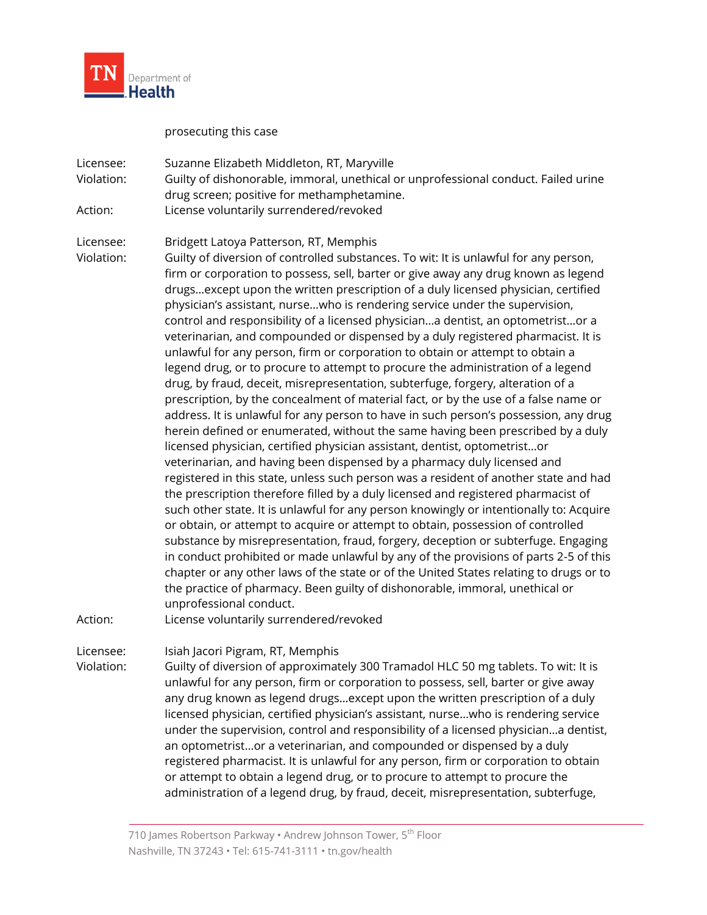

prosecuting this case

| Licensee:<br>Violation: | Suzanne Elizabeth Middleton, RT, Maryville<br>Guilty of dishonorable, immoral, unethical or unprofessional conduct. Failed urine                                                                                                                                                                                                                                                                                                                                                                                                                                                                                                                                                                                                                                                                                                                                                                                                                                                                                                                                                                                                                                                                                                                                                                                                                                                                                                                                                                                                                                                                                                                                                                                                                                                                                                                                                                                                                   |
|-------------------------|----------------------------------------------------------------------------------------------------------------------------------------------------------------------------------------------------------------------------------------------------------------------------------------------------------------------------------------------------------------------------------------------------------------------------------------------------------------------------------------------------------------------------------------------------------------------------------------------------------------------------------------------------------------------------------------------------------------------------------------------------------------------------------------------------------------------------------------------------------------------------------------------------------------------------------------------------------------------------------------------------------------------------------------------------------------------------------------------------------------------------------------------------------------------------------------------------------------------------------------------------------------------------------------------------------------------------------------------------------------------------------------------------------------------------------------------------------------------------------------------------------------------------------------------------------------------------------------------------------------------------------------------------------------------------------------------------------------------------------------------------------------------------------------------------------------------------------------------------------------------------------------------------------------------------------------------------|
|                         | drug screen; positive for methamphetamine.                                                                                                                                                                                                                                                                                                                                                                                                                                                                                                                                                                                                                                                                                                                                                                                                                                                                                                                                                                                                                                                                                                                                                                                                                                                                                                                                                                                                                                                                                                                                                                                                                                                                                                                                                                                                                                                                                                         |
| Action:                 | License voluntarily surrendered/revoked                                                                                                                                                                                                                                                                                                                                                                                                                                                                                                                                                                                                                                                                                                                                                                                                                                                                                                                                                                                                                                                                                                                                                                                                                                                                                                                                                                                                                                                                                                                                                                                                                                                                                                                                                                                                                                                                                                            |
| Licensee:               | Bridgett Latoya Patterson, RT, Memphis                                                                                                                                                                                                                                                                                                                                                                                                                                                                                                                                                                                                                                                                                                                                                                                                                                                                                                                                                                                                                                                                                                                                                                                                                                                                                                                                                                                                                                                                                                                                                                                                                                                                                                                                                                                                                                                                                                             |
| Violation:              | Guilty of diversion of controlled substances. To wit: It is unlawful for any person,<br>firm or corporation to possess, sell, barter or give away any drug known as legend<br>drugsexcept upon the written prescription of a duly licensed physician, certified<br>physician's assistant, nursewho is rendering service under the supervision,<br>control and responsibility of a licensed physiciana dentist, an optometristor a<br>veterinarian, and compounded or dispensed by a duly registered pharmacist. It is<br>unlawful for any person, firm or corporation to obtain or attempt to obtain a<br>legend drug, or to procure to attempt to procure the administration of a legend<br>drug, by fraud, deceit, misrepresentation, subterfuge, forgery, alteration of a<br>prescription, by the concealment of material fact, or by the use of a false name or<br>address. It is unlawful for any person to have in such person's possession, any drug<br>herein defined or enumerated, without the same having been prescribed by a duly<br>licensed physician, certified physician assistant, dentist, optometristor<br>veterinarian, and having been dispensed by a pharmacy duly licensed and<br>registered in this state, unless such person was a resident of another state and had<br>the prescription therefore filled by a duly licensed and registered pharmacist of<br>such other state. It is unlawful for any person knowingly or intentionally to: Acquire<br>or obtain, or attempt to acquire or attempt to obtain, possession of controlled<br>substance by misrepresentation, fraud, forgery, deception or subterfuge. Engaging<br>in conduct prohibited or made unlawful by any of the provisions of parts 2-5 of this<br>chapter or any other laws of the state or of the United States relating to drugs or to<br>the practice of pharmacy. Been guilty of dishonorable, immoral, unethical or<br>unprofessional conduct. |
| Action:                 | License voluntarily surrendered/revoked                                                                                                                                                                                                                                                                                                                                                                                                                                                                                                                                                                                                                                                                                                                                                                                                                                                                                                                                                                                                                                                                                                                                                                                                                                                                                                                                                                                                                                                                                                                                                                                                                                                                                                                                                                                                                                                                                                            |
| Licensee:               | Isiah Jacori Pigram, RT, Memphis                                                                                                                                                                                                                                                                                                                                                                                                                                                                                                                                                                                                                                                                                                                                                                                                                                                                                                                                                                                                                                                                                                                                                                                                                                                                                                                                                                                                                                                                                                                                                                                                                                                                                                                                                                                                                                                                                                                   |
| Violation:              | Guilty of diversion of approximately 300 Tramadol HLC 50 mg tablets. To wit: It is<br>unlawful for any person, firm or corporation to possess, sell, barter or give away<br>any drug known as legend drugsexcept upon the written prescription of a duly<br>licensed physician, certified physician's assistant, nursewho is rendering service<br>under the supervision, control and responsibility of a licensed physiciana dentist,<br>an optometristor a veterinarian, and compounded or dispensed by a duly<br>registered pharmacist. It is unlawful for any person, firm or corporation to obtain<br>or attempt to obtain a legend drug, or to procure to attempt to procure the<br>administration of a legend drug, by fraud, deceit, misrepresentation, subterfuge,                                                                                                                                                                                                                                                                                                                                                                                                                                                                                                                                                                                                                                                                                                                                                                                                                                                                                                                                                                                                                                                                                                                                                                         |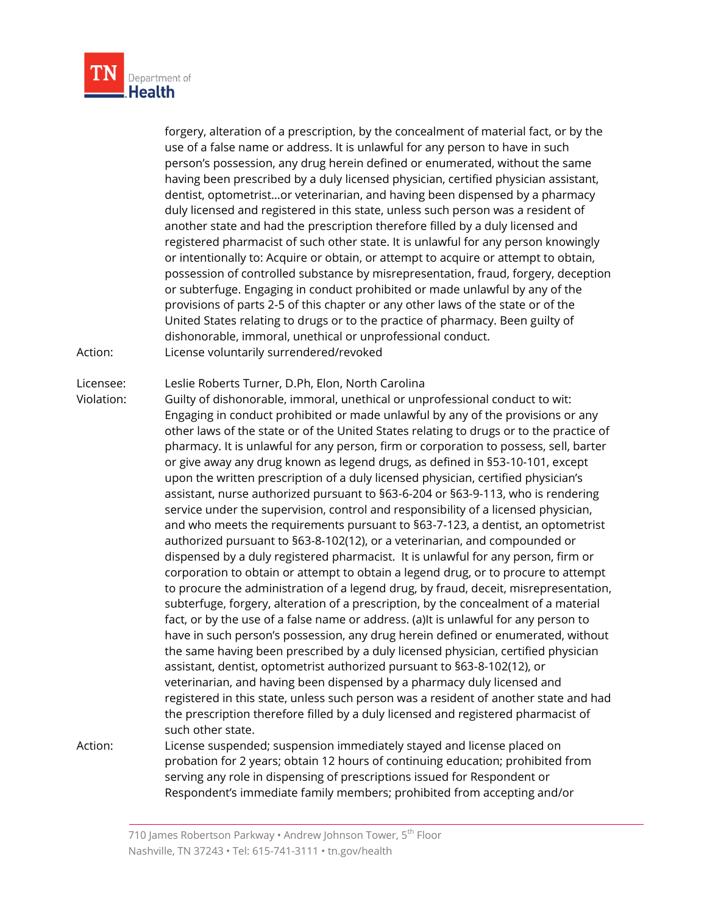

| Action:                 | forgery, alteration of a prescription, by the concealment of material fact, or by the<br>use of a false name or address. It is unlawful for any person to have in such<br>person's possession, any drug herein defined or enumerated, without the same<br>having been prescribed by a duly licensed physician, certified physician assistant,<br>dentist, optometristor veterinarian, and having been dispensed by a pharmacy<br>duly licensed and registered in this state, unless such person was a resident of<br>another state and had the prescription therefore filled by a duly licensed and<br>registered pharmacist of such other state. It is unlawful for any person knowingly<br>or intentionally to: Acquire or obtain, or attempt to acquire or attempt to obtain,<br>possession of controlled substance by misrepresentation, fraud, forgery, deception<br>or subterfuge. Engaging in conduct prohibited or made unlawful by any of the<br>provisions of parts 2-5 of this chapter or any other laws of the state or of the<br>United States relating to drugs or to the practice of pharmacy. Been guilty of<br>dishonorable, immoral, unethical or unprofessional conduct.<br>License voluntarily surrendered/revoked                                                                                                                                                                                                                                                                                                                                                                                                                                                                                                                                                                                                                                                  |
|-------------------------|-----------------------------------------------------------------------------------------------------------------------------------------------------------------------------------------------------------------------------------------------------------------------------------------------------------------------------------------------------------------------------------------------------------------------------------------------------------------------------------------------------------------------------------------------------------------------------------------------------------------------------------------------------------------------------------------------------------------------------------------------------------------------------------------------------------------------------------------------------------------------------------------------------------------------------------------------------------------------------------------------------------------------------------------------------------------------------------------------------------------------------------------------------------------------------------------------------------------------------------------------------------------------------------------------------------------------------------------------------------------------------------------------------------------------------------------------------------------------------------------------------------------------------------------------------------------------------------------------------------------------------------------------------------------------------------------------------------------------------------------------------------------------------------------------------------------------------------------------------------------------------------------|
| Licensee:<br>Violation: | Leslie Roberts Turner, D.Ph, Elon, North Carolina<br>Guilty of dishonorable, immoral, unethical or unprofessional conduct to wit:<br>Engaging in conduct prohibited or made unlawful by any of the provisions or any<br>other laws of the state or of the United States relating to drugs or to the practice of<br>pharmacy. It is unlawful for any person, firm or corporation to possess, sell, barter<br>or give away any drug known as legend drugs, as defined in §53-10-101, except<br>upon the written prescription of a duly licensed physician, certified physician's<br>assistant, nurse authorized pursuant to §63-6-204 or §63-9-113, who is rendering<br>service under the supervision, control and responsibility of a licensed physician,<br>and who meets the requirements pursuant to §63-7-123, a dentist, an optometrist<br>authorized pursuant to §63-8-102(12), or a veterinarian, and compounded or<br>dispensed by a duly registered pharmacist. It is unlawful for any person, firm or<br>corporation to obtain or attempt to obtain a legend drug, or to procure to attempt<br>to procure the administration of a legend drug, by fraud, deceit, misrepresentation,<br>subterfuge, forgery, alteration of a prescription, by the concealment of a material<br>fact, or by the use of a false name or address. (a)It is unlawful for any person to<br>have in such person's possession, any drug herein defined or enumerated, without<br>the same having been prescribed by a duly licensed physician, certified physician<br>assistant, dentist, optometrist authorized pursuant to §63-8-102(12), or<br>veterinarian, and having been dispensed by a pharmacy duly licensed and<br>registered in this state, unless such person was a resident of another state and had<br>the prescription therefore filled by a duly licensed and registered pharmacist of |
| Action:                 | such other state.<br>License suspended; suspension immediately stayed and license placed on<br>probation for 2 years; obtain 12 hours of continuing education; prohibited from<br>serving any role in dispensing of prescriptions issued for Respondent or<br>Respondent's immediate family members; prohibited from accepting and/or                                                                                                                                                                                                                                                                                                                                                                                                                                                                                                                                                                                                                                                                                                                                                                                                                                                                                                                                                                                                                                                                                                                                                                                                                                                                                                                                                                                                                                                                                                                                                   |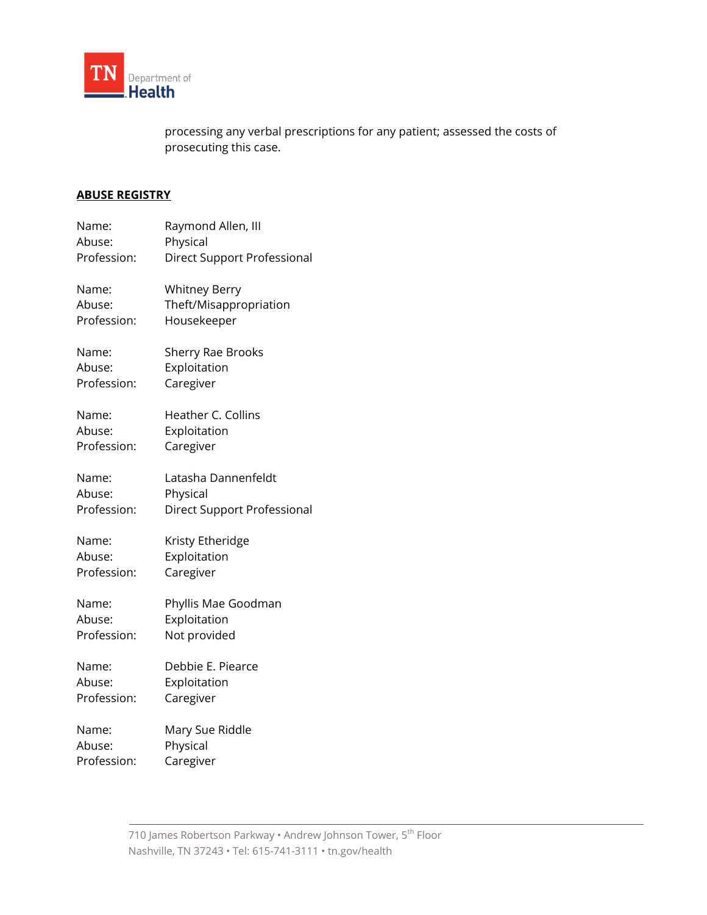

processing any verbal prescriptions for any patient; assessed the costs of prosecuting this case.

### **ABUSE REGISTRY**

| Name:<br>Abuse: | Raymond Allen, III<br>Physical     |
|-----------------|------------------------------------|
| Profession:     | <b>Direct Support Professional</b> |
| Name:           | <b>Whitney Berry</b>               |
| Abuse:          | Theft/Misappropriation             |
| Profession:     | Housekeeper                        |
| Name:           | <b>Sherry Rae Brooks</b>           |
| Abuse:          | Exploitation                       |
| Profession:     | Caregiver                          |
| Name:           | Heather C. Collins                 |
| Abuse:          | Exploitation                       |
| Profession:     | Caregiver                          |
| Name:           | Latasha Dannenfeldt                |
| Abuse:          | Physical                           |
| Profession:     | Direct Support Professional        |
| Name:           | Kristy Etheridge                   |
| Abuse:          | Exploitation                       |
| Profession:     | Caregiver                          |
| Name:           | Phyllis Mae Goodman                |
| Abuse:          | Exploitation                       |
| Profession:     | Not provided                       |
| Name:           | Debbie E. Piearce                  |
| Abuse:          | Exploitation                       |
| Profession:     | Caregiver                          |
| Name:           | Mary Sue Riddle                    |
| Abuse:          | Physical                           |
| Profession:     | Caregiver                          |
|                 |                                    |